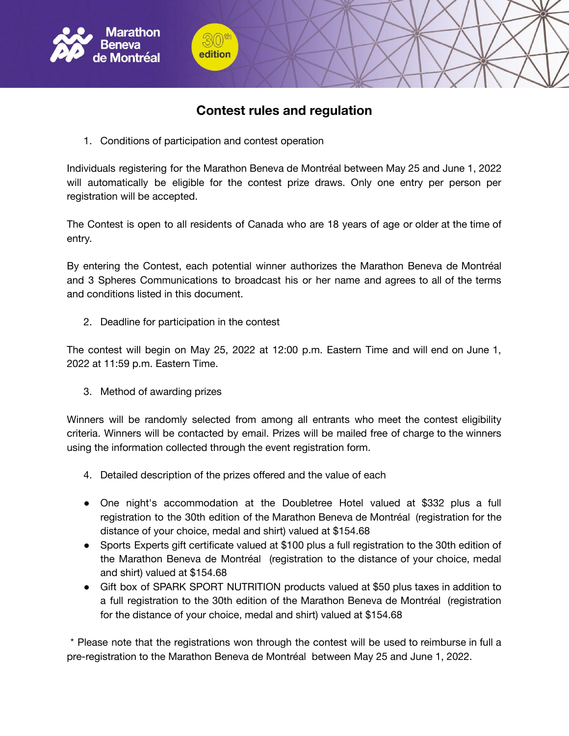

## **Contest rules and regulation**

1. Conditions of participation and contest operation

edition

Individuals registering for the Marathon Beneva de Montréal between May 25 and June 1, 2022 will automatically be eligible for the contest prize draws. Only one entry per person per registration will be accepted.

The Contest is open to all residents of Canada who are 18 years of age or older at the time of entry.

By entering the Contest, each potential winner authorizes the Marathon Beneva de Montréal and 3 Spheres Communications to broadcast his or her name and agrees to all of the terms and conditions listed in this document.

2. Deadline for participation in the contest

The contest will begin on May 25, 2022 at 12:00 p.m. Eastern Time and will end on June 1, 2022 at 11:59 p.m. Eastern Time.

3. Method of awarding prizes

Winners will be randomly selected from among all entrants who meet the contest eligibility criteria. Winners will be contacted by email. Prizes will be mailed free of charge to the winners using the information collected through the event registration form.

- 4. Detailed description of the prizes offered and the value of each
- One night's accommodation at the Doubletree Hotel valued at \$332 plus a full registration to the 30th edition of the Marathon Beneva de Montréal (registration for the distance of your choice, medal and shirt) valued at \$154.68
- Sports Experts gift certificate valued at \$100 plus a full registration to the 30th edition of the Marathon Beneva de Montréal (registration to the distance of your choice, medal and shirt) valued at \$154.68
- Gift box of SPARK SPORT NUTRITION products valued at \$50 plus taxes in addition to a full registration to the 30th edition of the Marathon Beneva de Montréal (registration for the distance of your choice, medal and shirt) valued at \$154.68

\* Please note that the registrations won through the contest will be used to reimburse in full a pre-registration to the Marathon Beneva de Montréal between May 25 and June 1, 2022.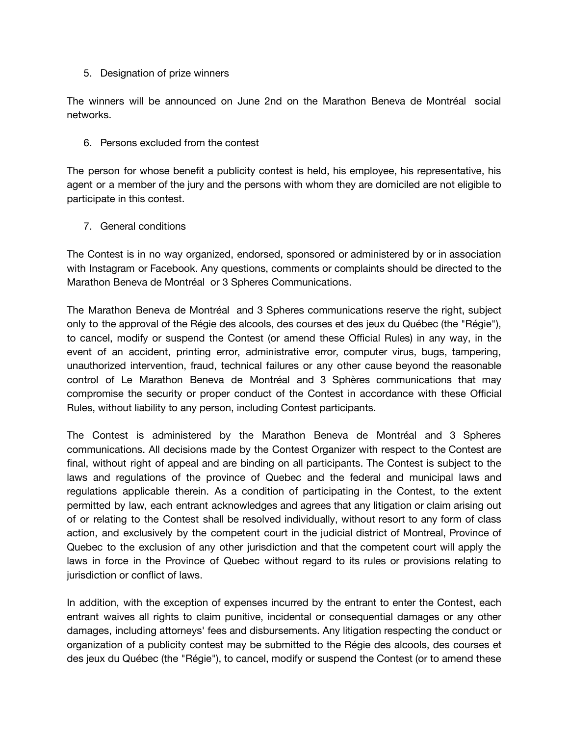5. Designation of prize winners

The winners will be announced on June 2nd on the Marathon Beneva de Montréal social networks.

6. Persons excluded from the contest

The person for whose benefit a publicity contest is held, his employee, his representative, his agent or a member of the jury and the persons with whom they are domiciled are not eligible to participate in this contest.

7. General conditions

The Contest is in no way organized, endorsed, sponsored or administered by or in association with Instagram or Facebook. Any questions, comments or complaints should be directed to the Marathon Beneva de Montréal or 3 Spheres Communications.

The Marathon Beneva de Montréal and 3 Spheres communications reserve the right, subject only to the approval of the Régie des alcools, des courses et des jeux du Québec (the "Régie"), to cancel, modify or suspend the Contest (or amend these Official Rules) in any way, in the event of an accident, printing error, administrative error, computer virus, bugs, tampering, unauthorized intervention, fraud, technical failures or any other cause beyond the reasonable control of Le Marathon Beneva de Montréal and 3 Sphères communications that may compromise the security or proper conduct of the Contest in accordance with these Official Rules, without liability to any person, including Contest participants.

The Contest is administered by the Marathon Beneva de Montréal and 3 Spheres communications. All decisions made by the Contest Organizer with respect to the Contest are final, without right of appeal and are binding on all participants. The Contest is subject to the laws and regulations of the province of Quebec and the federal and municipal laws and regulations applicable therein. As a condition of participating in the Contest, to the extent permitted by law, each entrant acknowledges and agrees that any litigation or claim arising out of or relating to the Contest shall be resolved individually, without resort to any form of class action, and exclusively by the competent court in the judicial district of Montreal, Province of Quebec to the exclusion of any other jurisdiction and that the competent court will apply the laws in force in the Province of Quebec without regard to its rules or provisions relating to jurisdiction or conflict of laws.

In addition, with the exception of expenses incurred by the entrant to enter the Contest, each entrant waives all rights to claim punitive, incidental or consequential damages or any other damages, including attorneys' fees and disbursements. Any litigation respecting the conduct or organization of a publicity contest may be submitted to the Régie des alcools, des courses et des jeux du Québec (the "Régie"), to cancel, modify or suspend the Contest (or to amend these